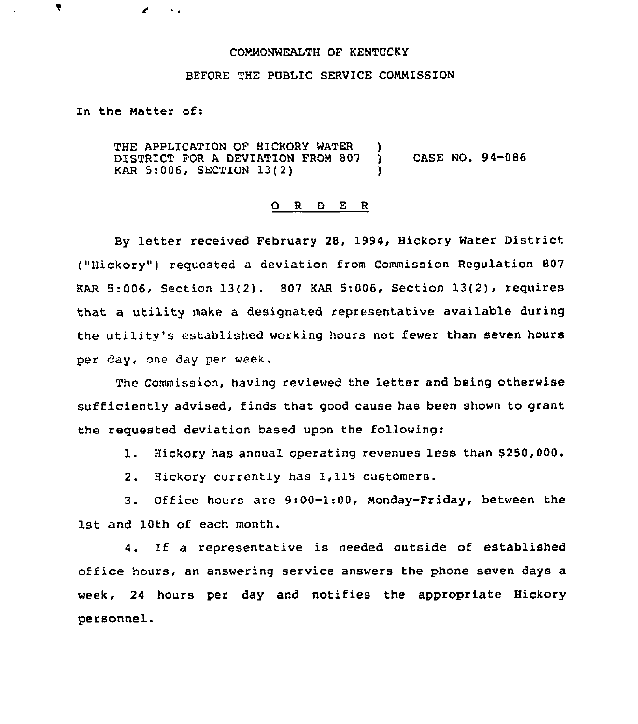## COMMONWEALTH OF KENTUCKY

## BEFORE THE PUBLIC SERVICE COMMISSION

In the Matter of:

**Section** 

ę

THE APPLICATION OF HICKORY WATER )<br>DISTRICT FOR A DEVIATION FROM 807 ) DISTRICT FOR A DEVIATION FROM 807 ) CASE NO. 94-086 KAR 5:006, SECTION 13(2) )

## O R D E R

By letter received February 28, 1994, Hickory Water District ("Hickory") requested a deviation from Commission Regulation 807 KAR 5:006, Section 13(2). 807 KAR 5:006, Section 13(2), requires that a utility make a designated representative available during the utility's established working hours not fewer than seven hours per day, one day per week.

The Commission, having reviewed the letter and being otherwise sufficiently advised, finds that good cause has been shown to grant the requested deviation based upon the following:

1. Hickory has annual operating revenues less than 8250,000.

2. Hickory currently has 1,115 customers.

3. Office hours are 9:00-1:00, Monday-Friday, between the 1st and 10th of each month.

4. If a representative is needed outside of established office hours, an answering service answers the phone seven days a week, 24 hours per day and notifies the appropriate Hickory personnel.